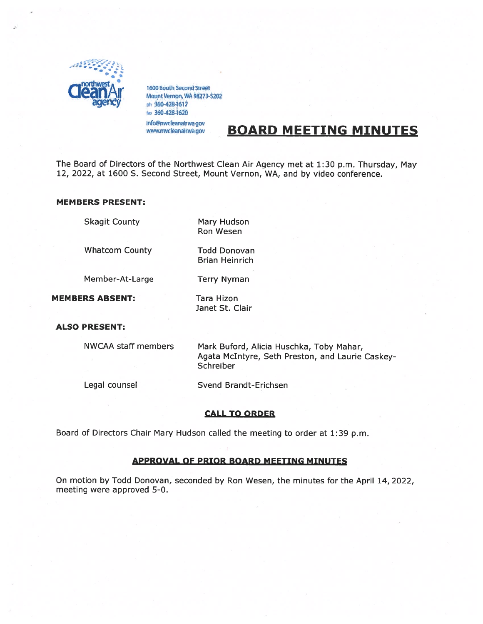

1600 South Second Street<br>Mount Vernon, WA 98273-5202 ph 360-428-1617 tax 360-428-1620

Info@nwcleanairwa.gov www.nwcleanairwa.gov

# BOARD MEETING MINUTES

The Board of Directors of the Northwest Clean Air Agency met at 1:30 p.m. Thursday, May 12, 2022, at 1600 S. Second Street, Mount Vernon, WA, and by video conference.

## MEMBERS PRESENT:

Skagit County Mary Hudson

Whatcom County Todd Donovan

Member-At-Large Terry Nyman

MEMBERS ABSENT: Tara Hizon

Janet St. Clair

Ron Wesen

Brian Heinrich

# ALSO PRESENT:

NWCAA staff members Mark Buford, Alicia Huschka, Toby Mahar, Agata McIntyre, Seth Preston, and Laurie Caskey Schreiber

Legal counsel Svend Brandt-Erichsen

# CALL TO ORDER

Board of Directors Chair Mary Hudson called the meeting to order at 1:39 p.m.

# APPROVAL OF PRIOR BOARD MEETING MINUTES

On motion by Todd Donovan, seconded by Ron Wesen, the minutes for the April 14, 2022, meeting were approved 5-0.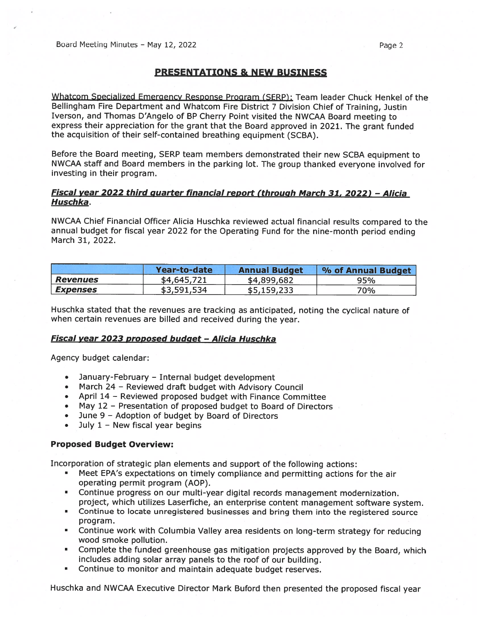# PRESENTATIONS & NEW BUSINESS

Whatcom Specialized Emergency Response Program (SERP): Team leader Chuck Henkel of the Bellingham Fire Department and Whatcom Fire District <sup>7</sup> Division Chief of Training, Justin Iverson, and Thomas D'Angelo of BP Cherry Point visited the NWCAA Board meeting to express their appreciation for the gran<sup>t</sup> that the Board approve<sup>d</sup> in 2021. The gran<sup>t</sup> funded the acquisition of their self-contained breathing equipment (SCBA).

Before the Board meeting, SERP team members demonstrated their new SCBA equipment to NWCAA staff and Board members in the parking lot. The group thanked everyone involved for investing in their program.

# Fiscal year <sup>2022</sup> third quarter financial repor<sup>t</sup> (throuah March 31, 2022) — Alicia Huschka.

NWCAA Chief Financial Officer Alicia Huschka reviewed actual financial results compare<sup>d</sup> to the annual budget for fiscal year <sup>2022</sup> for the Operating Fund for the nine-month period ending March 31, 2022.

|                        | Year-to-date | <b>Annual Budget</b> | % of Annual Budget |
|------------------------|--------------|----------------------|--------------------|
| <b>Revenues</b>        | \$4,645,721  | \$4,899,682          | 95%                |
| <i><b>Expenses</b></i> | \$3,591,534  | \$5,159,233          | 70%                |

Huschka stated that the revenues are tracking as anticipated, noting the cyclical nature of when certain revenues are billed and received during the year.

# Fiscal year 2023 proposed budget - Alicia Huschka

Agency budget calendar:

- January-February Internal budget development
- March <sup>24</sup> Reviewed draft budget with Advisory Council
- April 14 Reviewed proposed budget with Finance Committee
- May 12 Presentation of proposed budget to Board of Directors
- June 9 Adoption of budget by Board of Directors
- •July  $1 -$  New fiscal year begins

#### Proposed Budget Overview:

Incorporation of strategic <sup>p</sup>lan elements and suppor<sup>t</sup> of the following actions:

- • Meet EPA's expectations on timely compliance and permitting actions for the air operating permit program (AOP).
- Continue progress on our multi-year digital records managemen<sup>t</sup> modernization. project, which utilizes Laserfiche, an enterprise content managemen<sup>t</sup> software system.
- **Continue to locate unregistered businesses and bring them into the registered source** program.
- Continue work with Columbia Valley area residents on long-term strategy for reducing wood smoke pollution.
- Complete the funded greenhouse gas mitigation projects approve<sup>d</sup> by the Board, which includes adding solar array panels to the roof of our building.
- Continue to monitor and maintain adequate budget reserves.

Huschka and NWCAA Executive Director Mark Buford then presented the propose<sup>d</sup> fiscal year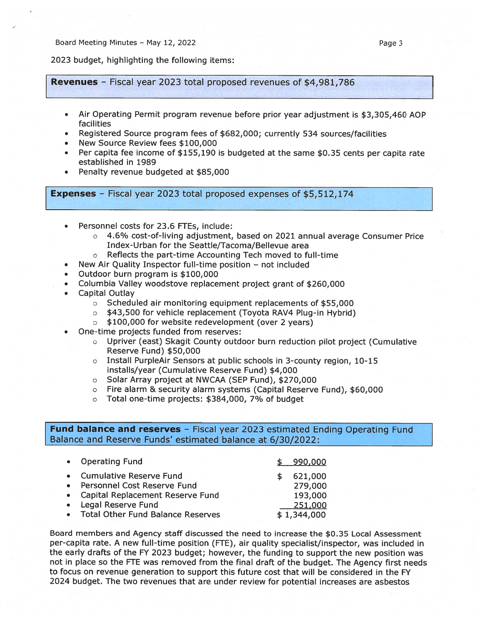Board Meeting Minutes – May 12, 2022 **Page 3** Page 3

2023 budget, highlighting the following items:

Revenues — Fiscal year <sup>2023</sup> total propose<sup>d</sup> revenues of \$4,981,786

- . Air Operating Permit program revenue before prior year adjustment is \$3,305,460 AOP facilities
- . Registered Source program fees of \$682,000; currently 534 sources/facilities
- . New Source Review fees \$100,000
- Per capita fee income of \$155,190 is budgeted at the same \$0.35 cents per capita rate established in 1989
- . Penalty revenue budgeted at \$85,000

Expenses — Fiscal year <sup>2023</sup> total propose<sup>d</sup> expenses of \$5,512,174

- . Personnel costs for 23.6 FTEs, include:
	- <sup>o</sup> 4.6% cost-of-living adjustment, based on 2021 annual average Consumer Price Index-Urban for the Seattle/Tacoma/Bellevue area
	- <sup>o</sup> Reflects the part-time Accounting Tech moved to full-time
- . New Air Quality Inspector full-time position not included
- . Outdoor burn program is \$100,000
	- . Columbia Valley woodstove replacement project gran<sup>t</sup> of \$260,000
- • Capital Outlay
	- <sup>o</sup> Scheduled air monitoring equipment replacements of \$55,000
	- <sup>o</sup> \$43,500 for vehicle replacement (Toyota RAV4 Plug-in Hybrid)
	- <sup>o</sup> \$100,000 for website redevelopment (over <sup>2</sup> years)
- . One-time projects funded from reserves:
	- <sup>o</sup> Upriver (east) Skagit County outdoor burn reduction <sup>p</sup>ilot project (Cumulative Reserve Fund) \$50,000
	- <sup>o</sup> Install PurpleAir Sensors at public schools in 3-county region, 10-15 installs/year (Cumulative Reserve Fund) \$4,000
	- <sup>o</sup> Solar Array project at NWCAA (SEP Fund), \$270,000
	- <sup>o</sup> Fire alarm & security alarm systems (Capital Reserve Fund), \$60,000
	- <sup>o</sup> Total one-time projects: \$384,000, 7% of budget

Fund balance and reserves - Fiscal year 2023 estimated Ending Operating Fund Balance and Reserve Funds' estimated balance at 6/30/2022:

| • Operating Fund                    | 990,000     |
|-------------------------------------|-------------|
| • Cumulative Reserve Fund           | 621,000     |
| Personnel Cost Reserve Fund         | 279,000     |
| • Capital Replacement Reserve Fund  | 193,000     |
| Legal Reserve Fund                  | 251,000     |
| • Total Other Fund Balance Reserves | \$1,344,000 |
|                                     |             |

Board members and Agency staff discussed the need to increase the \$0.35 Local Assessment per-capita rate. A new full-time position (FTE), air quality specialist/inspector, was included in the early drafts of the FY 2023 budget; however, the funding to suppor<sup>t</sup> the new position was not in <sup>p</sup>lace so the FTE was removed from the final draft of the budget. The Agency first needs to focus on revenue generation to suppor<sup>t</sup> this future cost that will be considered in the FY 2024 budget. The two revenues that are under review for potential increases are asbestos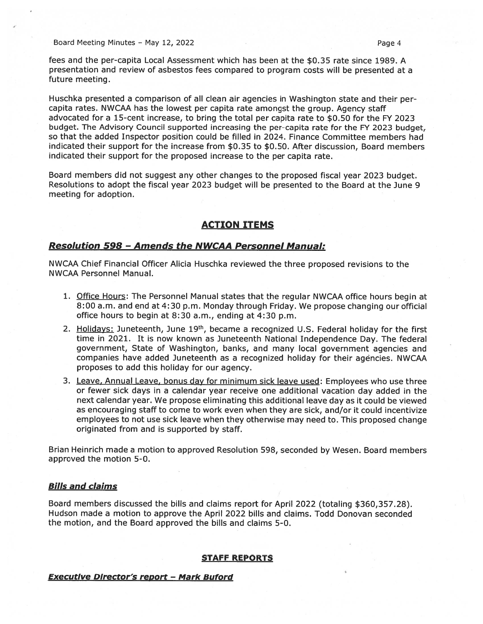Board Meeting Minutes – May 12, 2022 Page 4

fees and the per-capita Local Assessment which has been at the \$0.35 rate since 1989. A presentation and review of asbestos fees compared to program costs will be presented at <sup>a</sup> future meeting.

Huschka presented <sup>a</sup> comparison of all clean air agencies in Washington state and their percapita rates. NWCAA has the lowest per capita rate amongs<sup>t</sup> the group. Agency staff advocated for <sup>a</sup> 15-cent increase, to bring the total per capita rate to \$0.50 for the FY 2023 budget. The Advisory Council supported increasing the per-capita rate for the FY <sup>2023</sup> budget, so that the added Inspector position could be filled in 2024. Finance Committee members had indicated their suppor<sup>t</sup> for the increase from \$0.35 to \$0.50. After discussion, Board members indicated their suppor<sup>t</sup> for the proposed increase to the per capita rate.

Board members did not sugges<sup>t</sup> any other changes to the proposed fiscal year <sup>2023</sup> budget. Resolutions to adopt the fiscal year 2023 budget will be presented to the Board at the June 9 meeting for adoption.

# ACTION ITEMS

### <u> Resolution 598 - Amends the NWCAA Personnel Manual:</u>

NWCAA Chief Financial Officer Alicia Huschka reviewed the three proposed revisions to the NWCAA Personnel Manual.

- 1. Office Hours: The Personnel Manual states that the regular NWCAA office hours begin at 8:00 a.m. and end at 4:30 p.m. Monday through Friday. We propose changing our official office hours to begin at 8:30 a.m., ending at 4:30 p.m.
- 2. Holidays: Juneteenth, June 19<sup>th</sup>, became a recognized U.S. Federal holiday for the first time in 2021. It is now known as Juneteenth National Independence Day. The federal government, State of Washington, banks, and many local governmen<sup>t</sup> agencies and companies have added Juneteenth as <sup>a</sup> recognized holiday for their agencies. NWCAA proposes to add this holiday for our agency.
- 3. Leave, Annual Leave, bonus day for minimum sick leave used: Employees who use three or fewer sick days in <sup>a</sup> calendar year receive one additional vacation day added in the next calendar year. We propose eliminating this additional leave day as it could be viewed as encouraging staff to come to work even when they are sick, and/or it could incentivize employees to not use sick leave when they otherwise may need to. This proposed change originated from and is supported by staff.

Brian Heinrich made <sup>a</sup> motion to approved Resolution 598, seconded by Wesen. Board members approved the motion 5-0.

# Bills and claims

Board members discussed the bills and claims repor<sup>t</sup> for April 2022 (totaling \$360,357.28). Hudson made <sup>a</sup> motion to approve the April 2022 bills and claims. Todd Donovan seconded the motion, and the Board approved the bills and claims 5-0.

#### STAFF REPORTS

# Executive Director's repor<sup>t</sup> — Mark Buford